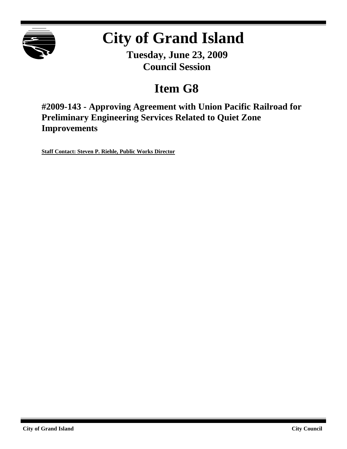

# **City of Grand Island**

**Tuesday, June 23, 2009 Council Session**

## **Item G8**

**#2009-143 - Approving Agreement with Union Pacific Railroad for Preliminary Engineering Services Related to Quiet Zone Improvements**

**Staff Contact: Steven P. Riehle, Public Works Director**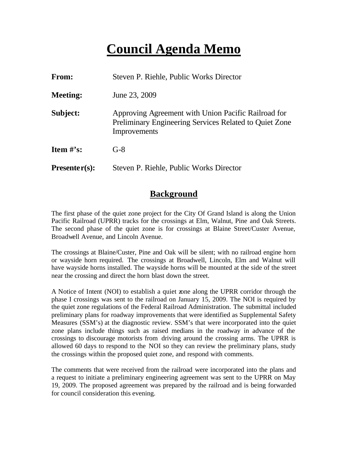## **Council Agenda Memo**

| <b>From:</b>                   | Steven P. Riehle, Public Works Director                                                                                       |  |
|--------------------------------|-------------------------------------------------------------------------------------------------------------------------------|--|
| <b>Meeting:</b>                | June 23, 2009                                                                                                                 |  |
| Subject:                       | Approving Agreement with Union Pacific Railroad for<br>Preliminary Engineering Services Related to Quiet Zone<br>Improvements |  |
| <b>Item <math>\#</math>'s:</b> | $G-8$                                                                                                                         |  |
| $Presenter(s):$                | Steven P. Riehle, Public Works Director                                                                                       |  |

### **Background**

The first phase of the quiet zone project for the City Of Grand Island is along the Union Pacific Railroad (UPRR) tracks for the crossings at Elm, Walnut, Pine and Oak Streets. The second phase of the quiet zone is for crossings at Blaine Street/Custer Avenue, Broadwell Avenue, and Lincoln Avenue.

The crossings at Blaine/Custer, Pine and Oak will be silent; with no railroad engine horn or wayside horn required. The crossings at Broadwell, Lincoln, Elm and Walnut will have wayside horns installed. The wayside horns will be mounted at the side of the street near the crossing and direct the horn blast down the street.

A Notice of Intent (NOI) to establish a quiet zone along the UPRR corridor through the phase I crossings was sent to the railroad on January 15, 2009. The NOI is required by the quiet zone regulations of the Federal Railroad Administration. The submittal included preliminary plans for roadway improvements that were identified as Supplemental Safety Measures (SSM's) at the diagnostic review. SSM's that were incorporated into the quiet zone plans include things such as raised medians in the roadway in advance of the crossings to discourage motorists from driving around the crossing arms. The UPRR is allowed 60 days to respond to the NOI so they can review the preliminary plans, study the crossings within the proposed quiet zone, and respond with comments.

The comments that were received from the railroad were incorporated into the plans and a request to initiate a preliminary engineering agreement was sent to the UPRR on May 19, 2009. The proposed agreement was prepared by the railroad and is being forwarded for council consideration this evening.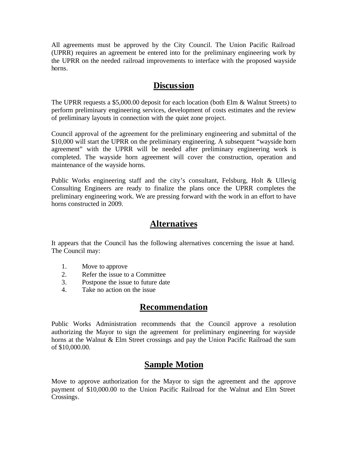All agreements must be approved by the City Council. The Union Pacific Railroad (UPRR) requires an agreement be entered into for the preliminary engineering work by the UPRR on the needed railroad improvements to interface with the proposed wayside horns.

### **Discussion**

The UPRR requests a \$5,000.00 deposit for each location (both Elm & Walnut Streets) to perform preliminary engineering services, development of costs estimates and the review of preliminary layouts in connection with the quiet zone project.

Council approval of the agreement for the preliminary engineering and submittal of the \$10,000 will start the UPRR on the preliminary engineering. A subsequent "wayside horn agreement" with the UPRR will be needed after preliminary engineering work is completed. The wayside horn agreement will cover the construction, operation and maintenance of the wayside horns.

Public Works engineering staff and the city's consultant, Felsburg, Holt & Ullevig Consulting Engineers are ready to finalize the plans once the UPRR completes the preliminary engineering work. We are pressing forward with the work in an effort to have horns constructed in 2009.

#### **Alternatives**

It appears that the Council has the following alternatives concerning the issue at hand. The Council may:

- 1. Move to approve
- 2. Refer the issue to a Committee
- 3. Postpone the issue to future date
- 4. Take no action on the issue

## **Recommendation**

Public Works Administration recommends that the Council approve a resolution authorizing the Mayor to sign the agreement for preliminary engineering for wayside horns at the Walnut & Elm Street crossings and pay the Union Pacific Railroad the sum of \$10,000.00.

## **Sample Motion**

Move to approve authorization for the Mayor to sign the agreement and the approve payment of \$10,000.00 to the Union Pacific Railroad for the Walnut and Elm Street Crossings.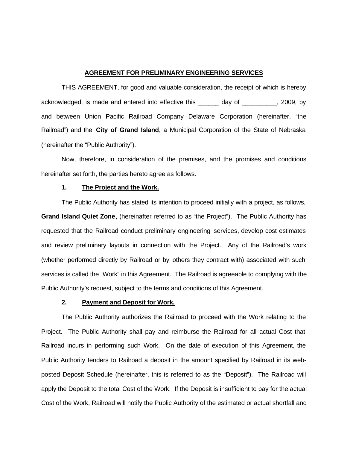#### **AGREEMENT FOR PRELIMINARY ENGINEERING SERVICES**

THIS AGREEMENT, for good and valuable consideration, the receipt of which is hereby acknowledged, is made and entered into effective this \_\_\_\_\_\_ day of \_\_\_\_\_\_\_\_\_\_, 2009, by and between Union Pacific Railroad Company Delaware Corporation (hereinafter, "the Railroad") and the **City of Grand Island**, a Municipal Corporation of the State of Nebraska (hereinafter the "Public Authority").

Now, therefore, in consideration of the premises, and the promises and conditions hereinafter set forth, the parties hereto agree as follows.

#### **1. The Project and the Work.**

The Public Authority has stated its intention to proceed initially with a project, as follows, **Grand Island Quiet Zone**, (hereinafter referred to as "the Project"). The Public Authority has requested that the Railroad conduct preliminary engineering services, develop cost estimates and review preliminary layouts in connection with the Project. Any of the Railroad's work (whether performed directly by Railroad or by others they contract with) associated with such services is called the "Work" in this Agreement. The Railroad is agreeable to complying with the Public Authority's request, subject to the terms and conditions of this Agreement.

#### **2. Payment and Deposit for Work.**

The Public Authority authorizes the Railroad to proceed with the Work relating to the Project. The Public Authority shall pay and reimburse the Railroad for all actual Cost that Railroad incurs in performing such Work. On the date of execution of this Agreement, the Public Authority tenders to Railroad a deposit in the amount specified by Railroad in its webposted Deposit Schedule (hereinafter, this is referred to as the "Deposit"). The Railroad will apply the Deposit to the total Cost of the Work. If the Deposit is insufficient to pay for the actual Cost of the Work, Railroad will notify the Public Authority of the estimated or actual shortfall and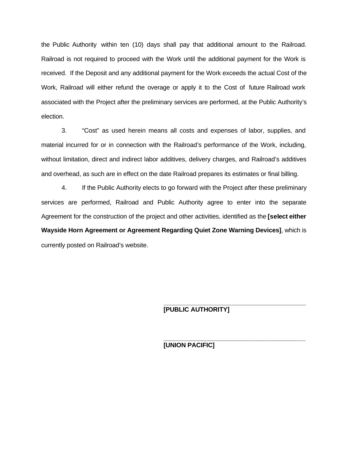the Public Authority within ten (10) days shall pay that additional amount to the Railroad. Railroad is not required to proceed with the Work until the additional payment for the Work is received. If the Deposit and any additional payment for the Work exceeds the actual Cost of the Work, Railroad will either refund the overage or apply it to the Cost of future Railroad work associated with the Project after the preliminary services are performed, at the Public Authority's election.

3. "Cost" as used herein means all costs and expenses of labor, supplies, and material incurred for or in connection with the Railroad's performance of the Work, including, without limitation, direct and indirect labor additives, delivery charges, and Railroad's additives and overhead, as such are in effect on the date Railroad prepares its estimates or final billing.

4. If the Public Authority elects to go forward with the Project after these preliminary services are performed, Railroad and Public Authority agree to enter into the separate Agreement for the construction of the project and other activities, identified as the **[select either Wayside Horn Agreement or Agreement Regarding Quiet Zone Warning Devices]**, which is currently posted on Railroad's website.

**[PUBLIC AUTHORITY]**

**\_\_\_\_\_\_\_\_\_\_\_\_\_\_\_\_\_\_\_\_\_\_\_\_\_\_\_\_\_\_\_\_\_\_\_\_\_\_\_\_\_**

**\_\_\_\_\_\_\_\_\_\_\_\_\_\_\_\_\_\_\_\_\_\_\_\_\_\_\_\_\_\_\_\_\_\_\_\_\_\_\_\_\_**

**[UNION PACIFIC]**